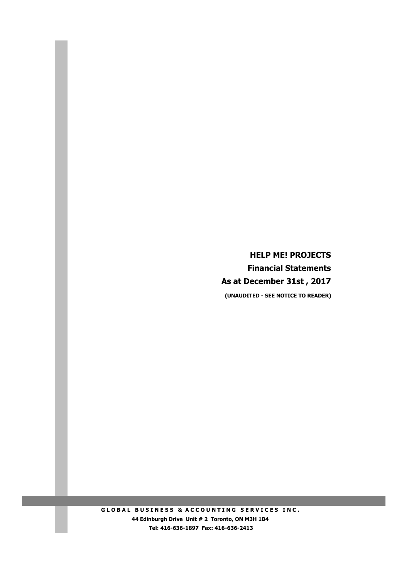**HELP ME! PROJECTS Financial Statements As at December 31st , 2017 (UNAUDITED - SEE NOTICE TO READER)**

**GLOBAL BUSINESS & ACCOUNTING SERVICES INC. 44 Edinburgh Drive Unit # 2 Toronto, ON M3H 1B4 Tel: 416-636-1897 Fax: 416-636-2413**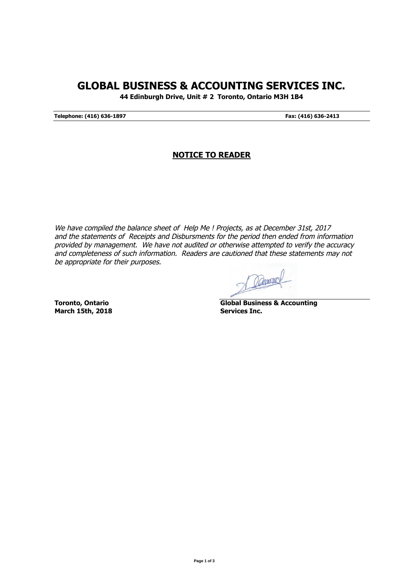## **GLOBAL BUSINESS & ACCOUNTING SERVICES INC.**

**44 Edinburgh Drive, Unit # 2 Toronto, Ontario M3H 1B4**

**Telephone: (416) 636-1897 Fax: (416) 636-2413**

## **NOTICE TO READER**

We have compiled the balance sheet of Help Me ! Projects, as at December 31st, 2017 and the statements of Receipts and Disbursments for the period then ended from information provided by management. We have not audited or otherwise attempted to verify the accuracy and completeness of such information. Readers are cautioned that these statements may not be appropriate for their purposes.

Ocamono

**March 15th, 2018 Services Inc.**

**Toronto, Ontario Global Business & Accounting**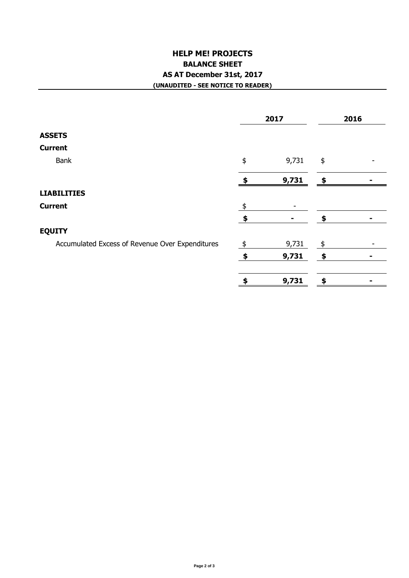## **HELP ME! PROJECTS BALANCE SHEET AS AT December 31st, 2017 (UNAUDITED - SEE NOTICE TO READER)**

| 2017                                            |               |                | 2016          |   |
|-------------------------------------------------|---------------|----------------|---------------|---|
| <b>ASSETS</b>                                   |               |                |               |   |
| <b>Current</b>                                  |               |                |               |   |
| Bank                                            | \$            | 9,731          | \$            |   |
|                                                 |               | 9,731          | - \$          |   |
| <b>LIABILITIES</b>                              |               |                |               |   |
| <b>Current</b>                                  | $\frac{1}{2}$ |                |               |   |
|                                                 | $\clubsuit$   | $\blacksquare$ | \$            |   |
| <b>EQUITY</b>                                   |               |                |               |   |
| Accumulated Excess of Revenue Over Expenditures | $\frac{1}{2}$ | 9,731          | $\frac{1}{2}$ |   |
|                                                 | - \$          | 9,731          | \$            | - |
|                                                 | \$            | 9,731          | \$            |   |